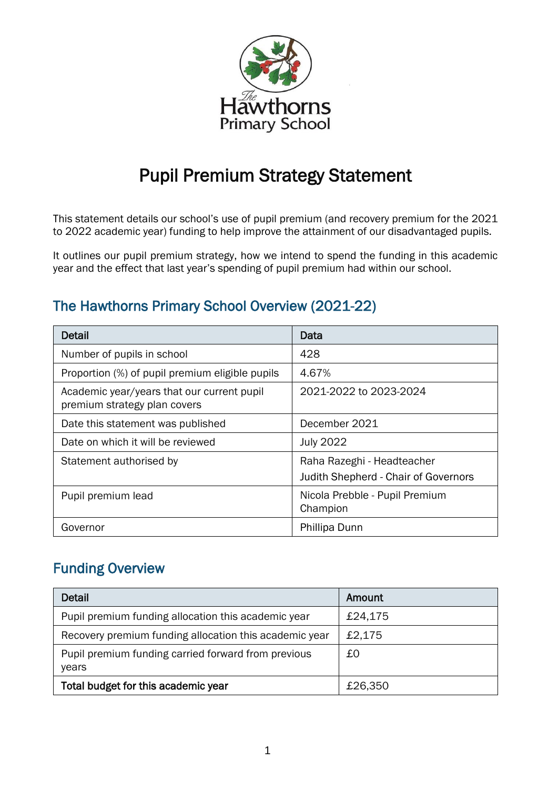

# Pupil Premium Strategy Statement

This statement details our school's use of pupil premium (and recovery premium for the 2021 to 2022 academic year) funding to help improve the attainment of our disadvantaged pupils.

It outlines our pupil premium strategy, how we intend to spend the funding in this academic year and the effect that last year's spending of pupil premium had within our school.

## The Hawthorns Primary School Overview (2021-22)

| <b>Detail</b>                                                              | Data                                                               |
|----------------------------------------------------------------------------|--------------------------------------------------------------------|
| Number of pupils in school                                                 | 428                                                                |
| Proportion (%) of pupil premium eligible pupils                            | 4.67%                                                              |
| Academic year/years that our current pupil<br>premium strategy plan covers | 2021-2022 to 2023-2024                                             |
| Date this statement was published                                          | December 2021                                                      |
| Date on which it will be reviewed                                          | <b>July 2022</b>                                                   |
| Statement authorised by                                                    | Raha Razeghi - Headteacher<br>Judith Shepherd - Chair of Governors |
| Pupil premium lead                                                         | Nicola Prebble - Pupil Premium<br>Champion                         |
| Governor                                                                   | Phillipa Dunn                                                      |

### Funding Overview

| <b>Detail</b>                                                | Amount  |
|--------------------------------------------------------------|---------|
| Pupil premium funding allocation this academic year          | £24,175 |
| Recovery premium funding allocation this academic year       | £2,175  |
| Pupil premium funding carried forward from previous<br>years | £O      |
| Total budget for this academic year                          | £26,350 |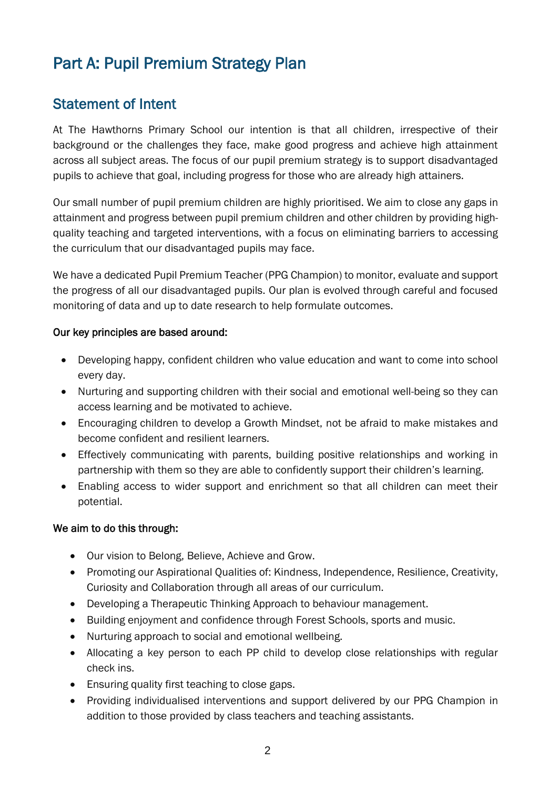# Part A: Pupil Premium Strategy Plan

## Statement of Intent

At The Hawthorns Primary School our intention is that all children, irrespective of their background or the challenges they face, make good progress and achieve high attainment across all subject areas. The focus of our pupil premium strategy is to support disadvantaged pupils to achieve that goal, including progress for those who are already high attainers.

Our small number of pupil premium children are highly prioritised. We aim to close any gaps in attainment and progress between pupil premium children and other children by providing highquality teaching and targeted interventions, with a focus on eliminating barriers to accessing the curriculum that our disadvantaged pupils may face.

We have a dedicated Pupil Premium Teacher (PPG Champion) to monitor, evaluate and support the progress of all our disadvantaged pupils. Our plan is evolved through careful and focused monitoring of data and up to date research to help formulate outcomes.

#### Our key principles are based around:

- Developing happy, confident children who value education and want to come into school every day.
- Nurturing and supporting children with their social and emotional well-being so they can access learning and be motivated to achieve.
- Encouraging children to develop a Growth Mindset, not be afraid to make mistakes and become confident and resilient learners.
- Effectively communicating with parents, building positive relationships and working in partnership with them so they are able to confidently support their children's learning.
- Enabling access to wider support and enrichment so that all children can meet their potential.

#### We aim to do this through:

- Our vision to Belong, Believe, Achieve and Grow.
- Promoting our Aspirational Qualities of: Kindness, Independence, Resilience, Creativity, Curiosity and Collaboration through all areas of our curriculum.
- Developing a Therapeutic Thinking Approach to behaviour management.
- Building enjoyment and confidence through Forest Schools, sports and music.
- Nurturing approach to social and emotional wellbeing.
- Allocating a key person to each PP child to develop close relationships with regular check ins.
- Ensuring quality first teaching to close gaps.
- Providing individualised interventions and support delivered by our PPG Champion in addition to those provided by class teachers and teaching assistants.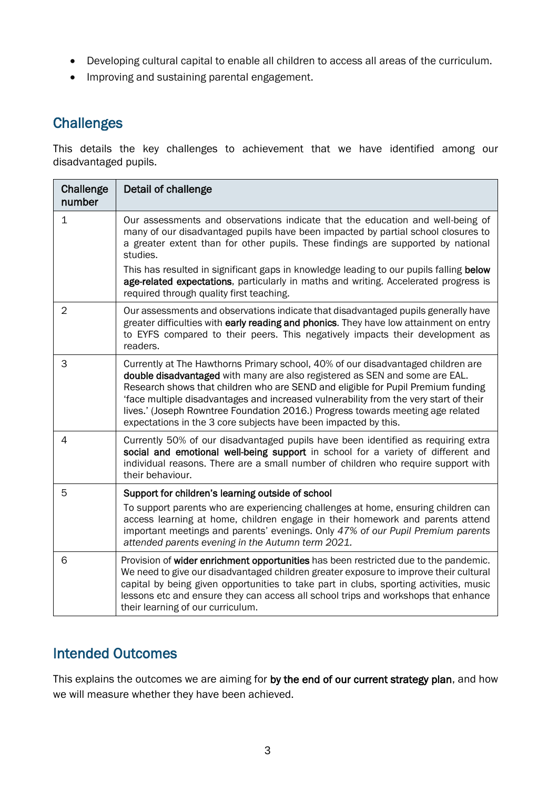- Developing cultural capital to enable all children to access all areas of the curriculum.
- Improving and sustaining parental engagement.

## **Challenges**

This details the key challenges to achievement that we have identified among our disadvantaged pupils.

| Challenge<br>number | Detail of challenge                                                                                                                                                                                                                                                                                                                                                                                                                                                                                |
|---------------------|----------------------------------------------------------------------------------------------------------------------------------------------------------------------------------------------------------------------------------------------------------------------------------------------------------------------------------------------------------------------------------------------------------------------------------------------------------------------------------------------------|
| 1                   | Our assessments and observations indicate that the education and well-being of<br>many of our disadvantaged pupils have been impacted by partial school closures to<br>a greater extent than for other pupils. These findings are supported by national<br>studies.                                                                                                                                                                                                                                |
|                     | This has resulted in significant gaps in knowledge leading to our pupils falling below<br>age-related expectations, particularly in maths and writing. Accelerated progress is<br>required through quality first teaching.                                                                                                                                                                                                                                                                         |
| $\overline{2}$      | Our assessments and observations indicate that disadvantaged pupils generally have<br>greater difficulties with early reading and phonics. They have low attainment on entry<br>to EYFS compared to their peers. This negatively impacts their development as<br>readers.                                                                                                                                                                                                                          |
| 3                   | Currently at The Hawthorns Primary school, 40% of our disadvantaged children are<br>double disadvantaged with many are also registered as SEN and some are EAL.<br>Research shows that children who are SEND and eligible for Pupil Premium funding<br>'face multiple disadvantages and increased vulnerability from the very start of their<br>lives.' (Joseph Rowntree Foundation 2016.) Progress towards meeting age related<br>expectations in the 3 core subjects have been impacted by this. |
| 4                   | Currently 50% of our disadvantaged pupils have been identified as requiring extra<br>social and emotional well-being support in school for a variety of different and<br>individual reasons. There are a small number of children who require support with<br>their behaviour.                                                                                                                                                                                                                     |
| 5                   | Support for children's learning outside of school<br>To support parents who are experiencing challenges at home, ensuring children can<br>access learning at home, children engage in their homework and parents attend<br>important meetings and parents' evenings. Only 47% of our Pupil Premium parents<br>attended parents evening in the Autumn term 2021.                                                                                                                                    |
| 6                   | Provision of wider enrichment opportunities has been restricted due to the pandemic.<br>We need to give our disadvantaged children greater exposure to improve their cultural<br>capital by being given opportunities to take part in clubs, sporting activities, music<br>lessons etc and ensure they can access all school trips and workshops that enhance<br>their learning of our curriculum.                                                                                                 |

### Intended Outcomes

This explains the outcomes we are aiming for by the end of our current strategy plan, and how we will measure whether they have been achieved.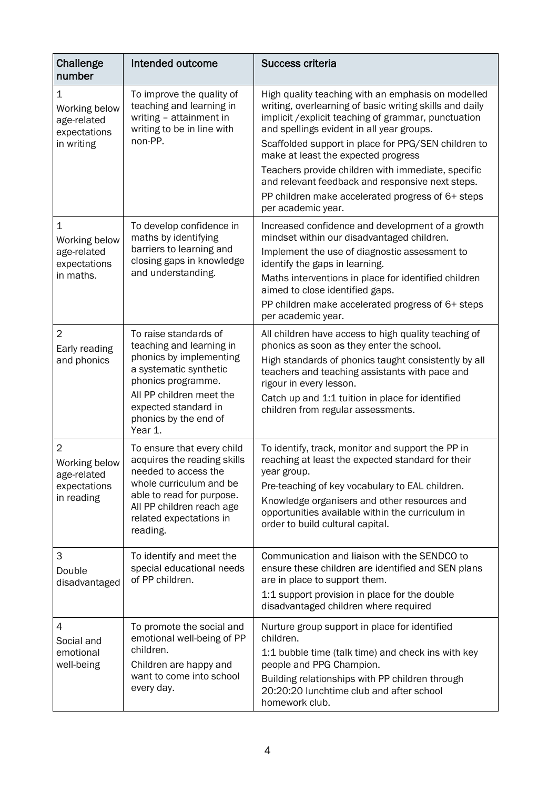| Challenge<br>number                                                          | Intended outcome                                                                                                                                                                                                     | <b>Success criteria</b>                                                                                                                                                                                                                                                                                                                                                                                                                                                                               |
|------------------------------------------------------------------------------|----------------------------------------------------------------------------------------------------------------------------------------------------------------------------------------------------------------------|-------------------------------------------------------------------------------------------------------------------------------------------------------------------------------------------------------------------------------------------------------------------------------------------------------------------------------------------------------------------------------------------------------------------------------------------------------------------------------------------------------|
| 1<br>Working below<br>age-related<br>expectations<br>in writing              | To improve the quality of<br>teaching and learning in<br>writing - attainment in<br>writing to be in line with<br>non-PP.                                                                                            | High quality teaching with an emphasis on modelled<br>writing, overlearning of basic writing skills and daily<br>implicit / explicit teaching of grammar, punctuation<br>and spellings evident in all year groups.<br>Scaffolded support in place for PPG/SEN children to<br>make at least the expected progress<br>Teachers provide children with immediate, specific<br>and relevant feedback and responsive next steps.<br>PP children make accelerated progress of 6+ steps<br>per academic year. |
| $\mathbf 1$<br>Working below<br>age-related<br>expectations<br>in maths.     | To develop confidence in<br>maths by identifying<br>barriers to learning and<br>closing gaps in knowledge<br>and understanding.                                                                                      | Increased confidence and development of a growth<br>mindset within our disadvantaged children.<br>Implement the use of diagnostic assessment to<br>identify the gaps in learning.<br>Maths interventions in place for identified children<br>aimed to close identified gaps.<br>PP children make accelerated progress of 6+ steps<br>per academic year.                                                                                                                                               |
| $\overline{2}$<br>Early reading<br>and phonics                               | To raise standards of<br>teaching and learning in<br>phonics by implementing<br>a systematic synthetic<br>phonics programme.<br>All PP children meet the<br>expected standard in<br>phonics by the end of<br>Year 1. | All children have access to high quality teaching of<br>phonics as soon as they enter the school.<br>High standards of phonics taught consistently by all<br>teachers and teaching assistants with pace and<br>rigour in every lesson.<br>Catch up and 1:1 tuition in place for identified<br>children from regular assessments.                                                                                                                                                                      |
| $\overline{2}$<br>Working below<br>age-related<br>expectations<br>in reading | To ensure that every child<br>acquires the reading skills<br>needed to access the<br>whole curriculum and be<br>able to read for purpose.<br>All PP children reach age<br>related expectations in<br>reading.        | To identify, track, monitor and support the PP in<br>reaching at least the expected standard for their<br>year group.<br>Pre-teaching of key vocabulary to EAL children.<br>Knowledge organisers and other resources and<br>opportunities available within the curriculum in<br>order to build cultural capital.                                                                                                                                                                                      |
| 3<br>Double<br>disadvantaged                                                 | To identify and meet the<br>special educational needs<br>of PP children.                                                                                                                                             | Communication and liaison with the SENDCO to<br>ensure these children are identified and SEN plans<br>are in place to support them.<br>1:1 support provision in place for the double<br>disadvantaged children where required                                                                                                                                                                                                                                                                         |
| 4<br>Social and<br>emotional<br>well-being                                   | To promote the social and<br>emotional well-being of PP<br>children.<br>Children are happy and<br>want to come into school<br>every day.                                                                             | Nurture group support in place for identified<br>children.<br>1:1 bubble time (talk time) and check ins with key<br>people and PPG Champion.<br>Building relationships with PP children through<br>20:20:20 lunchtime club and after school<br>homework club.                                                                                                                                                                                                                                         |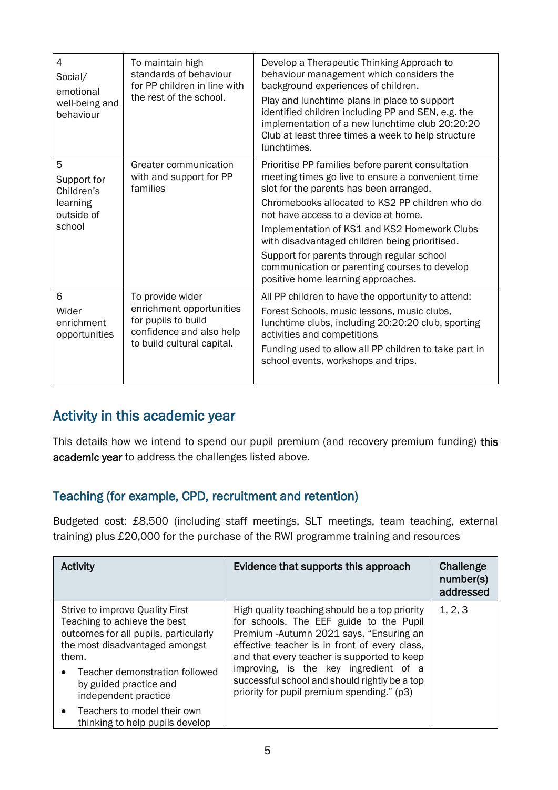| $\overline{4}$<br>Social/<br>emotional<br>well-being and<br>behaviour | To maintain high<br>standards of behaviour<br>for PP children in line with<br>the rest of the school.                         | Develop a Therapeutic Thinking Approach to<br>behaviour management which considers the<br>background experiences of children.<br>Play and lunchtime plans in place to support<br>identified children including PP and SEN, e.g. the<br>implementation of a new lunchtime club 20:20:20<br>Club at least three times a week to help structure<br>lunchtimes.                                                                                                                         |
|-----------------------------------------------------------------------|-------------------------------------------------------------------------------------------------------------------------------|-------------------------------------------------------------------------------------------------------------------------------------------------------------------------------------------------------------------------------------------------------------------------------------------------------------------------------------------------------------------------------------------------------------------------------------------------------------------------------------|
| 5<br>Support for<br>Children's<br>learning<br>outside of<br>school    | Greater communication<br>with and support for PP<br>families                                                                  | Prioritise PP families before parent consultation<br>meeting times go live to ensure a convenient time<br>slot for the parents has been arranged.<br>Chromebooks allocated to KS2 PP children who do<br>not have access to a device at home.<br>Implementation of KS1 and KS2 Homework Clubs<br>with disadvantaged children being prioritised.<br>Support for parents through regular school<br>communication or parenting courses to develop<br>positive home learning approaches. |
| 6<br>Wider<br>enrichment<br>opportunities                             | To provide wider<br>enrichment opportunities<br>for pupils to build<br>confidence and also help<br>to build cultural capital. | All PP children to have the opportunity to attend:<br>Forest Schools, music lessons, music clubs,<br>lunchtime clubs, including 20:20:20 club, sporting<br>activities and competitions<br>Funding used to allow all PP children to take part in<br>school events, workshops and trips.                                                                                                                                                                                              |

### Activity in this academic year

This details how we intend to spend our pupil premium (and recovery premium funding) this academic year to address the challenges listed above.

### Teaching (for example, CPD, recruitment and retention)

Budgeted cost: £8,500 (including staff meetings, SLT meetings, team teaching, external training) plus £20,000 for the purchase of the RWI programme training and resources

| <b>Activity</b>                                                                                                                                                                                                                         | Evidence that supports this approach                                                                                                                                                                                                                                                                                                                                          | Challenge<br>number(s)<br>addressed |
|-----------------------------------------------------------------------------------------------------------------------------------------------------------------------------------------------------------------------------------------|-------------------------------------------------------------------------------------------------------------------------------------------------------------------------------------------------------------------------------------------------------------------------------------------------------------------------------------------------------------------------------|-------------------------------------|
| Strive to improve Quality First<br>Teaching to achieve the best<br>outcomes for all pupils, particularly<br>the most disadvantaged amongst<br>them.<br>Teacher demonstration followed<br>by guided practice and<br>independent practice | High quality teaching should be a top priority<br>for schools. The EEF guide to the Pupil<br>Premium - Autumn 2021 says, "Ensuring an<br>effective teacher is in front of every class,<br>and that every teacher is supported to keep<br>improving, is the key ingredient of a<br>successful school and should rightly be a top<br>priority for pupil premium spending." (p3) | 1, 2, 3                             |
| Teachers to model their own<br>$\bullet$<br>thinking to help pupils develop                                                                                                                                                             |                                                                                                                                                                                                                                                                                                                                                                               |                                     |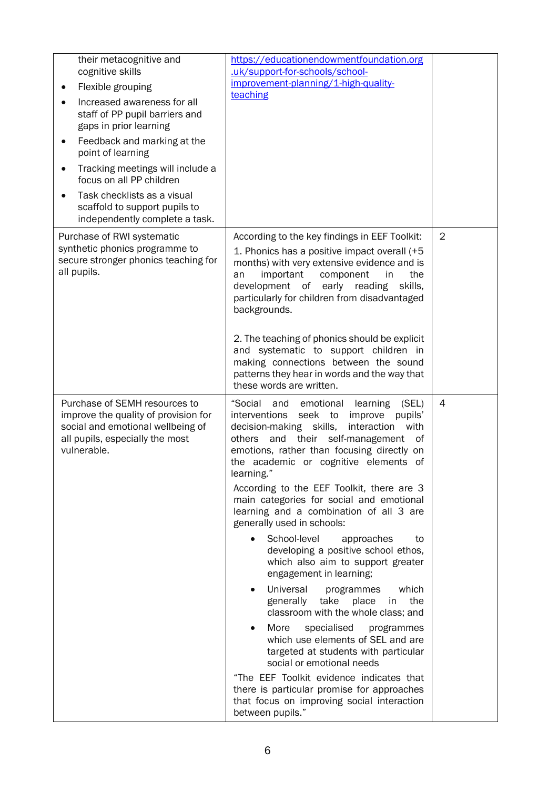| their metacognitive and<br>cognitive skills<br>Flexible grouping<br>Increased awareness for all<br>staff of PP pupil barriers and<br>gaps in prior learning<br>Feedback and marking at the<br>$\bullet$<br>point of learning<br>Tracking meetings will include a<br>$\bullet$<br>focus on all PP children<br>Task checklists as a visual<br>scaffold to support pupils to<br>independently complete a task. | https://educationendowmentfoundation.org<br>.uk/support-for-schools/school-<br>improvement-planning/1-high-quality-<br>teaching                                                                                                                                                                                                                                                                                                                                                                                                                                                                                                                                                                                                                                                                                                                                                                                                                                                                                                                      |                |
|-------------------------------------------------------------------------------------------------------------------------------------------------------------------------------------------------------------------------------------------------------------------------------------------------------------------------------------------------------------------------------------------------------------|------------------------------------------------------------------------------------------------------------------------------------------------------------------------------------------------------------------------------------------------------------------------------------------------------------------------------------------------------------------------------------------------------------------------------------------------------------------------------------------------------------------------------------------------------------------------------------------------------------------------------------------------------------------------------------------------------------------------------------------------------------------------------------------------------------------------------------------------------------------------------------------------------------------------------------------------------------------------------------------------------------------------------------------------------|----------------|
| Purchase of RWI systematic<br>synthetic phonics programme to<br>secure stronger phonics teaching for<br>all pupils.                                                                                                                                                                                                                                                                                         | According to the key findings in EEF Toolkit:<br>1. Phonics has a positive impact overall (+5<br>months) with very extensive evidence and is<br>important<br>component<br>the<br>in<br>an<br>development of<br>early<br>reading<br>skills,<br>particularly for children from disadvantaged<br>backgrounds.<br>2. The teaching of phonics should be explicit<br>and systematic to support children in<br>making connections between the sound<br>patterns they hear in words and the way that<br>these words are written.                                                                                                                                                                                                                                                                                                                                                                                                                                                                                                                             | $\overline{2}$ |
| Purchase of SEMH resources to<br>improve the quality of provision for<br>social and emotional wellbeing of<br>all pupils, especially the most<br>vulnerable.                                                                                                                                                                                                                                                | "Social<br>and emotional<br>learning<br>(SEL)<br>interventions<br>seek to<br>pupils'<br>improve<br>decision-making skills,<br>interaction<br>with<br>their self-management<br>others<br>and<br>οf<br>emotions, rather than focusing directly on<br>the academic or cognitive elements of<br>learning."<br>According to the EEF Toolkit, there are 3<br>main categories for social and emotional<br>learning and a combination of all 3 are<br>generally used in schools:<br>School-level<br>approaches<br>to<br>developing a positive school ethos,<br>which also aim to support greater<br>engagement in learning;<br>Universal<br>which<br>programmes<br>generally<br>take<br>place<br>the<br>in<br>classroom with the whole class; and<br>More<br>specialised<br>programmes<br>which use elements of SEL and are<br>targeted at students with particular<br>social or emotional needs<br>"The EEF Toolkit evidence indicates that<br>there is particular promise for approaches<br>that focus on improving social interaction<br>between pupils." | $\overline{4}$ |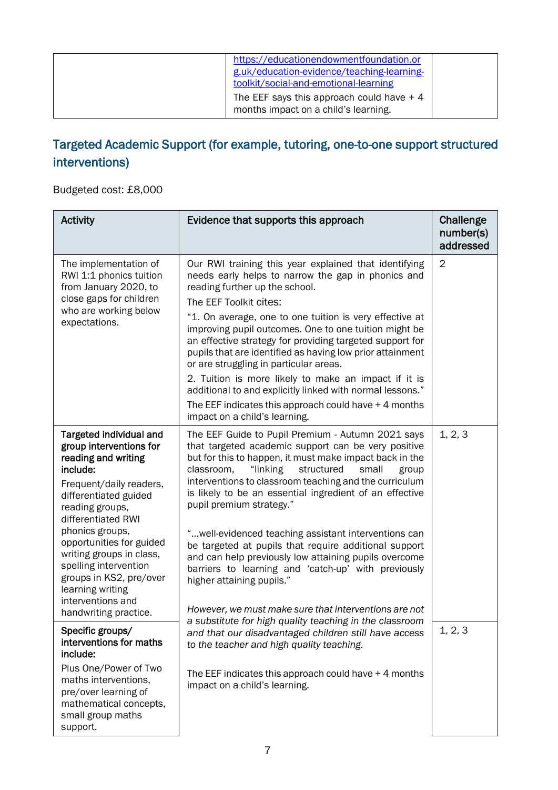| https://educationendowmentfoundation.or<br>g.uk/education-evidence/teaching-learning-<br>toolkit/social-and-emotional-learning<br>The EEF says this approach could have $+4$<br>months impact on a child's learning. |  |
|----------------------------------------------------------------------------------------------------------------------------------------------------------------------------------------------------------------------|--|
|----------------------------------------------------------------------------------------------------------------------------------------------------------------------------------------------------------------------|--|

## Targeted Academic Support (for example, tutoring, one-to-one support structured interventions)

Budgeted cost: £8,000

| <b>Activity</b>                                                                                                                                                                                                                                                                                                                                                                     | Evidence that supports this approach                                                                                                                                                                                                                                                                                                                                                                                                                                                                                                                                                                                                                                                                                                                              | Challenge<br>number(s)<br>addressed |
|-------------------------------------------------------------------------------------------------------------------------------------------------------------------------------------------------------------------------------------------------------------------------------------------------------------------------------------------------------------------------------------|-------------------------------------------------------------------------------------------------------------------------------------------------------------------------------------------------------------------------------------------------------------------------------------------------------------------------------------------------------------------------------------------------------------------------------------------------------------------------------------------------------------------------------------------------------------------------------------------------------------------------------------------------------------------------------------------------------------------------------------------------------------------|-------------------------------------|
| The implementation of<br>RWI 1:1 phonics tuition<br>from January 2020, to<br>close gaps for children<br>who are working below<br>expectations.                                                                                                                                                                                                                                      | Our RWI training this year explained that identifying<br>needs early helps to narrow the gap in phonics and<br>reading further up the school.<br>The EEF Toolkit cites:<br>"1. On average, one to one tuition is very effective at<br>improving pupil outcomes. One to one tuition might be<br>an effective strategy for providing targeted support for<br>pupils that are identified as having low prior attainment<br>or are struggling in particular areas.<br>2. Tuition is more likely to make an impact if it is<br>additional to and explicitly linked with normal lessons."<br>The EEF indicates this approach could have $+$ 4 months<br>impact on a child's learning.                                                                                   | $\overline{2}$                      |
| Targeted individual and<br>group interventions for<br>reading and writing<br>include:<br>Frequent/daily readers,<br>differentiated guided<br>reading groups,<br>differentiated RWI<br>phonics groups,<br>opportunities for guided<br>writing groups in class,<br>spelling intervention<br>groups in KS2, pre/over<br>learning writing<br>interventions and<br>handwriting practice. | The EEF Guide to Pupil Premium - Autumn 2021 says<br>that targeted academic support can be very positive<br>but for this to happen, it must make impact back in the<br>"linking<br>classroom,<br>structured<br>small<br>group<br>interventions to classroom teaching and the curriculum<br>is likely to be an essential ingredient of an effective<br>pupil premium strategy."<br>" well-evidenced teaching assistant interventions can<br>be targeted at pupils that require additional support<br>and can help previously low attaining pupils overcome<br>barriers to learning and 'catch-up' with previously<br>higher attaining pupils."<br>However, we must make sure that interventions are not<br>a substitute for high quality teaching in the classroom | 1, 2, 3                             |
| Specific groups/<br>interventions for maths<br>include:<br>Plus One/Power of Two<br>maths interventions,<br>pre/over learning of<br>mathematical concepts,<br>small group maths<br>support.                                                                                                                                                                                         | and that our disadvantaged children still have access<br>to the teacher and high quality teaching.<br>The EEF indicates this approach could have $+4$ months<br>impact on a child's learning.                                                                                                                                                                                                                                                                                                                                                                                                                                                                                                                                                                     | 1, 2, 3                             |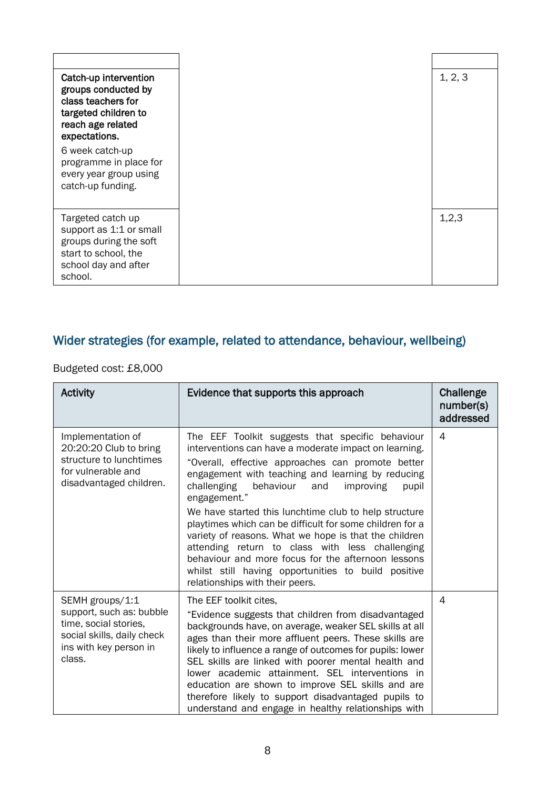| Catch-up intervention<br>groups conducted by<br>class teachers for<br>targeted children to<br>reach age related<br>expectations.  |
|-----------------------------------------------------------------------------------------------------------------------------------|
| 6 week catch-up<br>programme in place for<br>every year group using<br>catch-up funding.                                          |
| Targeted catch up<br>support as 1:1 or small<br>groups during the soft<br>start to school, the<br>school day and after<br>school. |

## Wider strategies (for example, related to attendance, behaviour, wellbeing)

Budgeted cost: £8,000

| <b>Activity</b>                                                                                                                        | Evidence that supports this approach                                                                                                                                                                                                                                                                                                                                                                                                                                                                                                       | Challenge<br>number(s)<br>addressed |
|----------------------------------------------------------------------------------------------------------------------------------------|--------------------------------------------------------------------------------------------------------------------------------------------------------------------------------------------------------------------------------------------------------------------------------------------------------------------------------------------------------------------------------------------------------------------------------------------------------------------------------------------------------------------------------------------|-------------------------------------|
| Implementation of<br>20:20:20 Club to bring<br>structure to lunchtimes<br>for vulnerable and<br>disadvantaged children.                | The EEF Toolkit suggests that specific behaviour<br>interventions can have a moderate impact on learning.<br>"Overall, effective approaches can promote better<br>engagement with teaching and learning by reducing<br>challenging<br>behaviour<br>and<br>improving<br>pupil<br>engagement."<br>We have started this lunchtime club to help structure<br>playtimes which can be difficult for some children for a                                                                                                                          | 4                                   |
|                                                                                                                                        | variety of reasons. What we hope is that the children<br>attending return to class with less challenging<br>behaviour and more focus for the afternoon lessons<br>whilst still having opportunities to build positive<br>relationships with their peers.                                                                                                                                                                                                                                                                                   |                                     |
| SEMH groups/1:1<br>support, such as: bubble<br>time, social stories,<br>social skills, daily check<br>ins with key person in<br>class. | The EEF toolkit cites,<br>"Evidence suggests that children from disadvantaged<br>backgrounds have, on average, weaker SEL skills at all<br>ages than their more affluent peers. These skills are<br>likely to influence a range of outcomes for pupils: lower<br>SEL skills are linked with poorer mental health and<br>lower academic attainment. SEL interventions in<br>education are shown to improve SEL skills and are<br>therefore likely to support disadvantaged pupils to<br>understand and engage in healthy relationships with | 4                                   |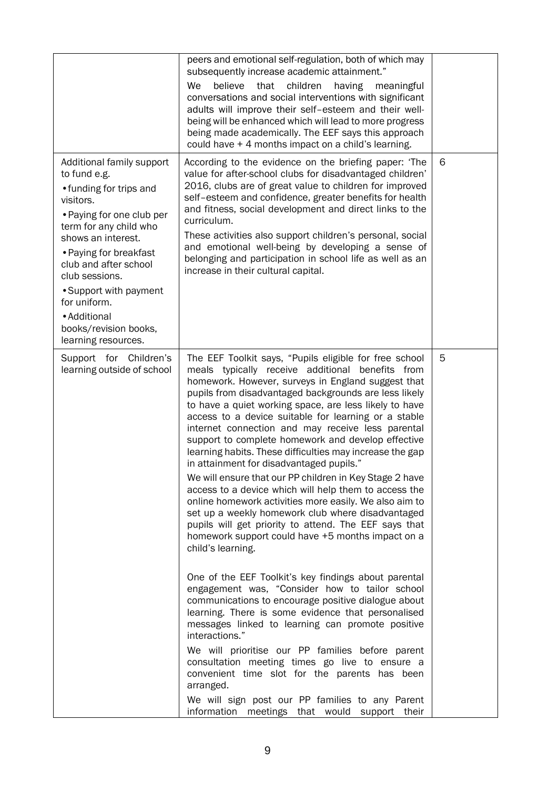|                                                                                                                                                                                                                                                                                                                                               | peers and emotional self-regulation, both of which may<br>subsequently increase academic attainment."<br>We<br>believe<br>children<br>that<br>having<br>meaningful<br>conversations and social interventions with significant<br>adults will improve their self-esteem and their well-<br>being will be enhanced which will lead to more progress<br>being made academically. The EEF says this approach<br>could have + 4 months impact on a child's learning.                                                                                                                                                                                                                                                                                                                                                                                                                                                                                                                                                                                                                                                                                                                                                                                                                                                                                                                                                                                                                                              |   |
|-----------------------------------------------------------------------------------------------------------------------------------------------------------------------------------------------------------------------------------------------------------------------------------------------------------------------------------------------|--------------------------------------------------------------------------------------------------------------------------------------------------------------------------------------------------------------------------------------------------------------------------------------------------------------------------------------------------------------------------------------------------------------------------------------------------------------------------------------------------------------------------------------------------------------------------------------------------------------------------------------------------------------------------------------------------------------------------------------------------------------------------------------------------------------------------------------------------------------------------------------------------------------------------------------------------------------------------------------------------------------------------------------------------------------------------------------------------------------------------------------------------------------------------------------------------------------------------------------------------------------------------------------------------------------------------------------------------------------------------------------------------------------------------------------------------------------------------------------------------------------|---|
| Additional family support<br>to fund e.g.<br>• funding for trips and<br>visitors.<br>• Paying for one club per<br>term for any child who<br>shows an interest.<br>• Paying for breakfast<br>club and after school<br>club sessions.<br>• Support with payment<br>for uniform.<br>• Additional<br>books/revision books,<br>learning resources. | According to the evidence on the briefing paper: 'The<br>value for after-school clubs for disadvantaged children'<br>2016, clubs are of great value to children for improved<br>self-esteem and confidence, greater benefits for health<br>and fitness, social development and direct links to the<br>curriculum.<br>These activities also support children's personal, social<br>and emotional well-being by developing a sense of<br>belonging and participation in school life as well as an<br>increase in their cultural capital.                                                                                                                                                                                                                                                                                                                                                                                                                                                                                                                                                                                                                                                                                                                                                                                                                                                                                                                                                                       | 6 |
| Support for Children's<br>learning outside of school                                                                                                                                                                                                                                                                                          | The EEF Toolkit says, "Pupils eligible for free school<br>meals typically receive additional benefits from<br>homework. However, surveys in England suggest that<br>pupils from disadvantaged backgrounds are less likely<br>to have a quiet working space, are less likely to have<br>access to a device suitable for learning or a stable<br>internet connection and may receive less parental<br>support to complete homework and develop effective<br>learning habits. These difficulties may increase the gap<br>in attainment for disadvantaged pupils."<br>We will ensure that our PP children in Key Stage 2 have<br>access to a device which will help them to access the<br>online homework activities more easily. We also aim to<br>set up a weekly homework club where disadvantaged<br>pupils will get priority to attend. The EEF says that<br>homework support could have +5 months impact on a<br>child's learning.<br>One of the EEF Toolkit's key findings about parental<br>engagement was, "Consider how to tailor school<br>communications to encourage positive dialogue about<br>learning. There is some evidence that personalised<br>messages linked to learning can promote positive<br>interactions."<br>We will prioritise our PP families before parent<br>consultation meeting times go live to ensure a<br>convenient time slot for the parents has been<br>arranged.<br>We will sign post our PP families to any Parent<br>information meetings that would support<br>their | 5 |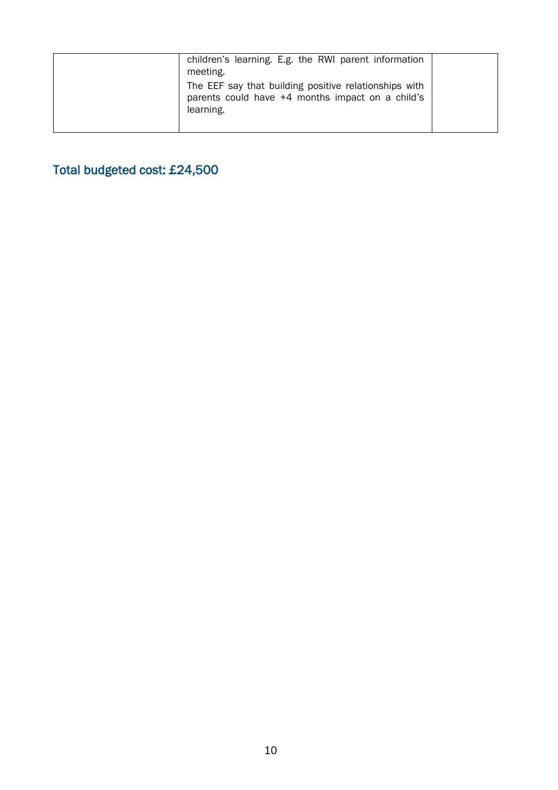| children's learning. E.g. the RWI parent information<br>meeting.                                                       |  |
|------------------------------------------------------------------------------------------------------------------------|--|
| The EEF say that building positive relationships with<br>parents could have +4 months impact on a child's<br>learning. |  |
|                                                                                                                        |  |

Total budgeted cost: £24,500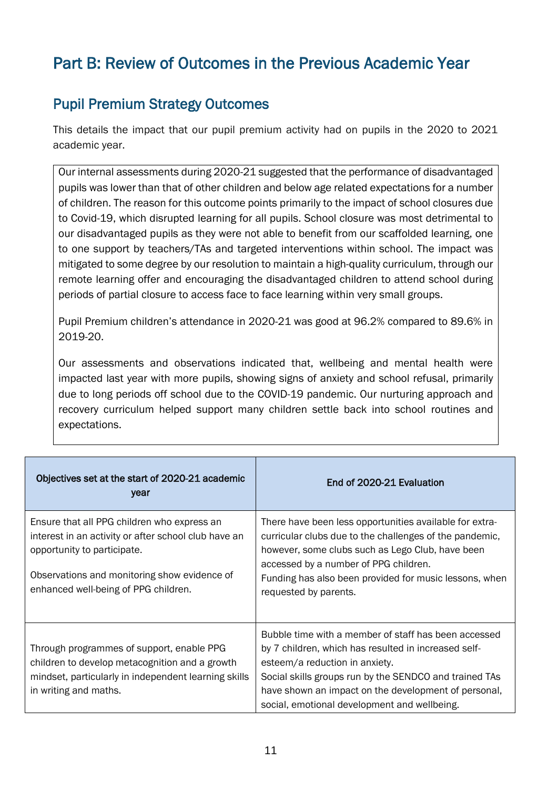# Part B: Review of Outcomes in the Previous Academic Year

## Pupil Premium Strategy Outcomes

This details the impact that our pupil premium activity had on pupils in the 2020 to 2021 academic year.

Our internal assessments during 2020-21 suggested that the performance of disadvantaged pupils was lower than that of other children and below age related expectations for a number of children. The reason for this outcome points primarily to the impact of school closures due to Covid-19, which disrupted learning for all pupils. School closure was most detrimental to our disadvantaged pupils as they were not able to benefit from our scaffolded learning, one to one support by teachers/TAs and targeted interventions within school. The impact was mitigated to some degree by our resolution to maintain a high-quality curriculum, through our remote learning offer and encouraging the disadvantaged children to attend school during periods of partial closure to access face to face learning within very small groups.

Pupil Premium children's attendance in 2020-21 was good at 96.2% compared to 89.6% in 2019-20.

Our assessments and observations indicated that, wellbeing and mental health were impacted last year with more pupils, showing signs of anxiety and school refusal, primarily due to long periods off school due to the COVID-19 pandemic. Our nurturing approach and recovery curriculum helped support many children settle back into school routines and expectations.

| Objectives set at the start of 2020-21 academic<br>year                                                                                                                                                                    | End of 2020-21 Evaluation                                                                                                                                                                                                                                                                                        |
|----------------------------------------------------------------------------------------------------------------------------------------------------------------------------------------------------------------------------|------------------------------------------------------------------------------------------------------------------------------------------------------------------------------------------------------------------------------------------------------------------------------------------------------------------|
| Ensure that all PPG children who express an<br>interest in an activity or after school club have an<br>opportunity to participate.<br>Observations and monitoring show evidence of<br>enhanced well-being of PPG children. | There have been less opportunities available for extra-<br>curricular clubs due to the challenges of the pandemic,<br>however, some clubs such as Lego Club, have been<br>accessed by a number of PPG children.<br>Funding has also been provided for music lessons, when<br>requested by parents.               |
| Through programmes of support, enable PPG<br>children to develop metacognition and a growth<br>mindset, particularly in independent learning skills<br>in writing and maths.                                               | Bubble time with a member of staff has been accessed<br>by 7 children, which has resulted in increased self-<br>esteem/a reduction in anxiety.<br>Social skills groups run by the SENDCO and trained TAs<br>have shown an impact on the development of personal,<br>social, emotional development and wellbeing. |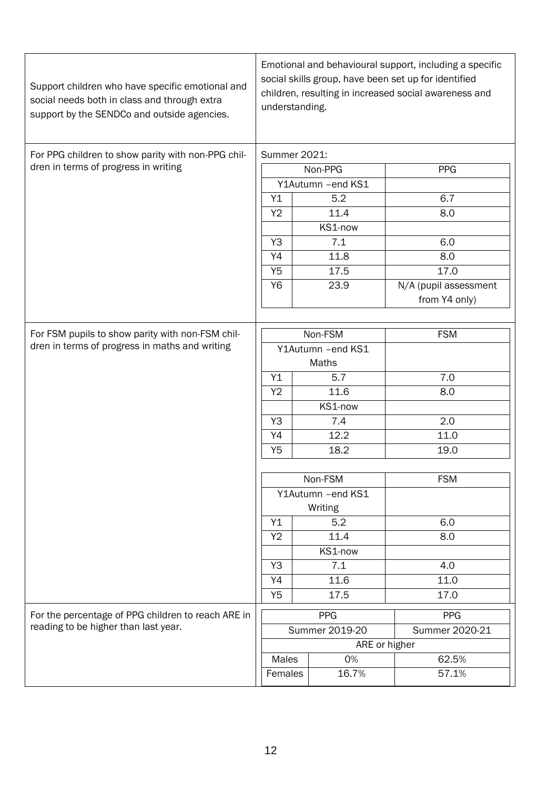| Support children who have specific emotional and<br>social needs both in class and through extra<br>support by the SENDCo and outside agencies. | Emotional and behavioural support, including a specific<br>social skills group, have been set up for identified<br>children, resulting in increased social awareness and<br>understanding. |                    |                       |  |  |
|-------------------------------------------------------------------------------------------------------------------------------------------------|--------------------------------------------------------------------------------------------------------------------------------------------------------------------------------------------|--------------------|-----------------------|--|--|
| For PPG children to show parity with non-PPG chil-                                                                                              | <b>Summer 2021:</b>                                                                                                                                                                        |                    |                       |  |  |
| dren in terms of progress in writing                                                                                                            |                                                                                                                                                                                            | Non-PPG            | <b>PPG</b>            |  |  |
|                                                                                                                                                 |                                                                                                                                                                                            | Y1Autumn - end KS1 |                       |  |  |
|                                                                                                                                                 |                                                                                                                                                                                            | 5.2                | 6.7                   |  |  |
|                                                                                                                                                 |                                                                                                                                                                                            | 11.4               | 8.0                   |  |  |
|                                                                                                                                                 |                                                                                                                                                                                            | KS1-now            |                       |  |  |
|                                                                                                                                                 |                                                                                                                                                                                            | 7.1                | 6.0                   |  |  |
|                                                                                                                                                 |                                                                                                                                                                                            | 11.8               | 8.0                   |  |  |
|                                                                                                                                                 |                                                                                                                                                                                            | 17.5               | 17.0                  |  |  |
|                                                                                                                                                 |                                                                                                                                                                                            | 23.9               | N/A (pupil assessment |  |  |
|                                                                                                                                                 |                                                                                                                                                                                            |                    | from Y4 only)         |  |  |
|                                                                                                                                                 |                                                                                                                                                                                            |                    |                       |  |  |
| For FSM pupils to show parity with non-FSM chil-                                                                                                |                                                                                                                                                                                            | Non-FSM            | <b>FSM</b>            |  |  |
| dren in terms of progress in maths and writing                                                                                                  |                                                                                                                                                                                            | Y1Autumn - end KS1 |                       |  |  |
|                                                                                                                                                 | Maths                                                                                                                                                                                      |                    |                       |  |  |
|                                                                                                                                                 |                                                                                                                                                                                            | 5.7                | $\overline{7.0}$      |  |  |
|                                                                                                                                                 |                                                                                                                                                                                            | 11.6               | 8.0                   |  |  |
|                                                                                                                                                 |                                                                                                                                                                                            | KS1-now            |                       |  |  |
|                                                                                                                                                 |                                                                                                                                                                                            | 7.4                | 2.0                   |  |  |
|                                                                                                                                                 |                                                                                                                                                                                            | 12.2               | 11.0                  |  |  |
|                                                                                                                                                 |                                                                                                                                                                                            | 18.2               | 19.0                  |  |  |
|                                                                                                                                                 |                                                                                                                                                                                            |                    |                       |  |  |
|                                                                                                                                                 |                                                                                                                                                                                            | Non-FSM            | <b>FSM</b>            |  |  |
|                                                                                                                                                 |                                                                                                                                                                                            | Y1Autumn - end KS1 |                       |  |  |
|                                                                                                                                                 |                                                                                                                                                                                            | Writing            |                       |  |  |
|                                                                                                                                                 |                                                                                                                                                                                            | 5.2                | 6.0                   |  |  |
|                                                                                                                                                 | Y2                                                                                                                                                                                         | 11.4               | 8.0                   |  |  |
|                                                                                                                                                 |                                                                                                                                                                                            | KS1-now            |                       |  |  |
|                                                                                                                                                 | Y3                                                                                                                                                                                         | 7.1                | 4.0                   |  |  |
|                                                                                                                                                 | Y4                                                                                                                                                                                         | 11.6               | 11.0                  |  |  |
|                                                                                                                                                 | Y <sub>5</sub>                                                                                                                                                                             | 17.5               | 17.0                  |  |  |
| For the percentage of PPG children to reach ARE in                                                                                              |                                                                                                                                                                                            | <b>PPG</b>         | <b>PPG</b>            |  |  |
| reading to be higher than last year.                                                                                                            | Summer 2019-20<br>Summer 2020-21                                                                                                                                                           |                    |                       |  |  |
|                                                                                                                                                 |                                                                                                                                                                                            | ARE or higher      |                       |  |  |
|                                                                                                                                                 | <b>Males</b>                                                                                                                                                                               | 0%                 | 62.5%                 |  |  |
|                                                                                                                                                 | Females                                                                                                                                                                                    | 16.7%              | 57.1%                 |  |  |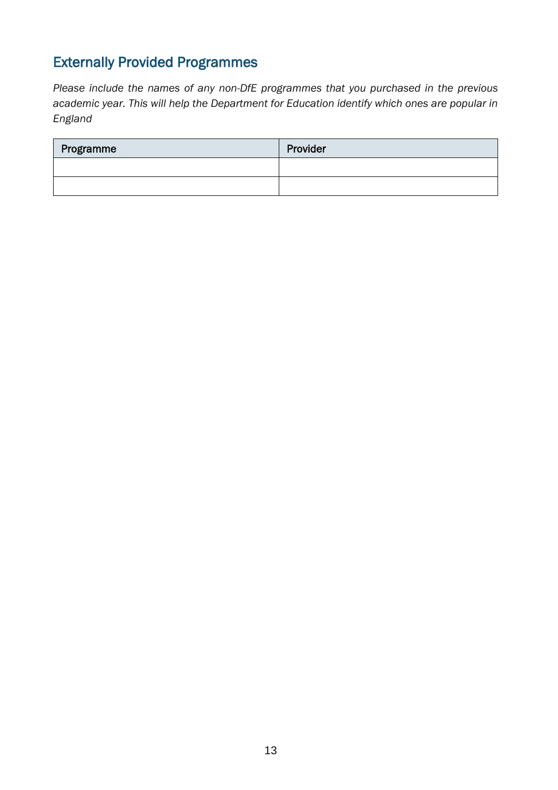## Externally Provided Programmes

*Please include the names of any non-DfE programmes that you purchased in the previous academic year. This will help the Department for Education identify which ones are popular in England*

| Programme | Provider |
|-----------|----------|
|           |          |
|           |          |